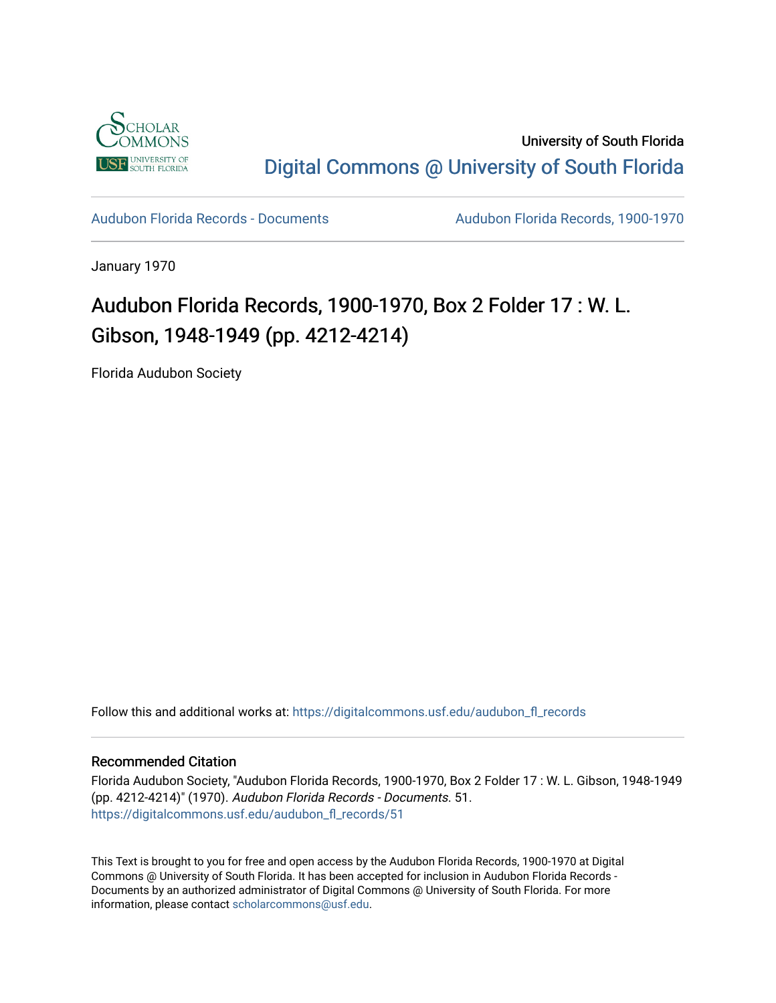

University of South Florida [Digital Commons @ University of South Florida](https://digitalcommons.usf.edu/) 

[Audubon Florida Records - Documents](https://digitalcommons.usf.edu/audubon_fl_records) Audubon Florida Records, 1900-1970

January 1970

# Audubon Florida Records, 1900-1970, Box 2 Folder 17 : W. L. Gibson, 1948-1949 (pp. 4212-4214)

Florida Audubon Society

Follow this and additional works at: [https://digitalcommons.usf.edu/audubon\\_fl\\_records](https://digitalcommons.usf.edu/audubon_fl_records?utm_source=digitalcommons.usf.edu%2Faudubon_fl_records%2F51&utm_medium=PDF&utm_campaign=PDFCoverPages) 

### Recommended Citation

Florida Audubon Society, "Audubon Florida Records, 1900-1970, Box 2 Folder 17 : W. L. Gibson, 1948-1949 (pp. 4212-4214)" (1970). Audubon Florida Records - Documents. 51. [https://digitalcommons.usf.edu/audubon\\_fl\\_records/51](https://digitalcommons.usf.edu/audubon_fl_records/51?utm_source=digitalcommons.usf.edu%2Faudubon_fl_records%2F51&utm_medium=PDF&utm_campaign=PDFCoverPages)

This Text is brought to you for free and open access by the Audubon Florida Records, 1900-1970 at Digital Commons @ University of South Florida. It has been accepted for inclusion in Audubon Florida Records - Documents by an authorized administrator of Digital Commons @ University of South Florida. For more information, please contact [scholarcommons@usf.edu](mailto:scholarcommons@usf.edu).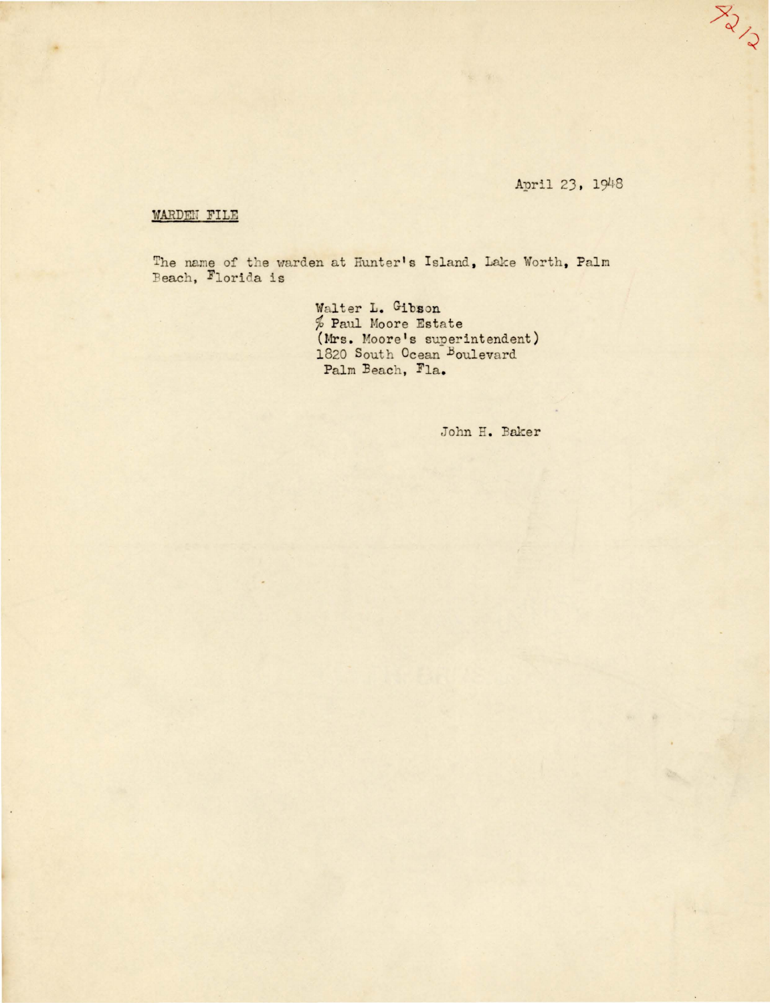## April 23, 1948

YON

#### WARDEN FILE

The name of the warden at Hunter's Island, Lake Worth, Palm Beach, Florida is

Walter L. Gibson % Paul Moore Estate<br>(Mrs. Moore's superintendent)<br>1820 South Ocean Boulevard Palm Beach, Fla.

John H. Baker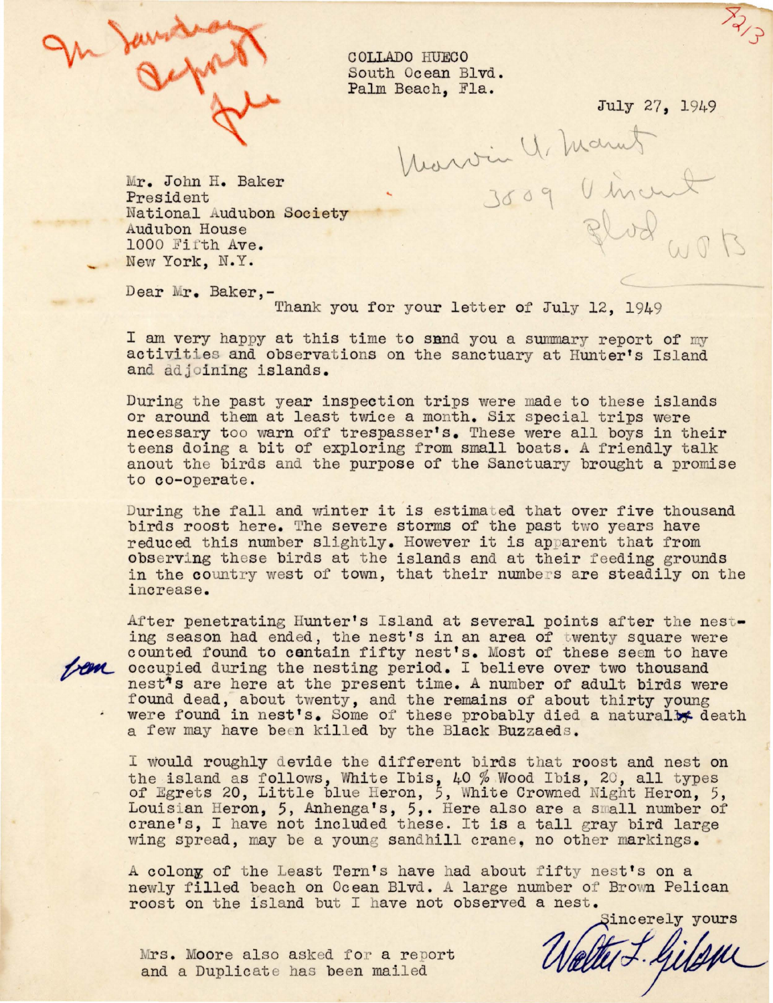

COLLADO HUECO South Ocean Blvd. Palm Beach, Fla.

*r*  V.J J

July 27, 1949<br>Marvin 4, Marnet

r. John H. Baker President National Audubon Society Audubon House 1000 Fifth Ave. New York, N. Y.

Dear Mr. Baker,-

Thank you for your letter of July 12, 1949

I am very happy at this time to sand you a summary report of my activities and observations on the sanctuary at Hunter's Island and adjoining islands.

During the past year inspection trips were made to these islands or around them at least twice a month. Six special trips were necessary too warn off trespasser's. These were all boys in their teens doing a bit of exploring from small boats. A friendly talk anout the birds and the purpose of the Sanctuary brought a promise to co-operate.

During the fall and winter it is estimated that over five thousand birds roost here. The severe storms of the past two years have reduced this number slightly. However it is apparent that from observing these birds at the islands and at their feeding grounds in the country west of town, that their numbers are steadily on the increase.

After penetrating Hunter's Island at several points after the nest-<br>ing season had ended, the nest's in an area of twenty square were counted found to centain fifty nest's. Most of these seem to have **AM** occupied during the nesting period. I believe over two thousand nest<sup>1</sup>s are here at the present time. A number of adult birds were found dead, about twenty, and the remains of about thirty young were found in nest's. Some of these probably died a naturally death a few may have been killed by the Black Buzzaeds.

I would roughly devide the different birds that roost and nest on the island as follows, White Ibis, 40 % Wood Ibis, 20, all types of Egrets 20, Little blue Heron, 5, White Crowned Night Heron, 5, Louisian Heron, 5, Anhenga's, 5,. Here also are a small number of crane's, I have not included these. It is a tall gray bird large wing spread, may be a young sandhill crane, no other markings.

A colony of the Least Tern's have had about fifty nest's on a newly filled beach on Ocean Blvd. A large number of Brown Pelican roost on the island but I have not observed a nest.

Sincerely yours

Mrs. Moore also asked for a report and a Duplicate has been mailed